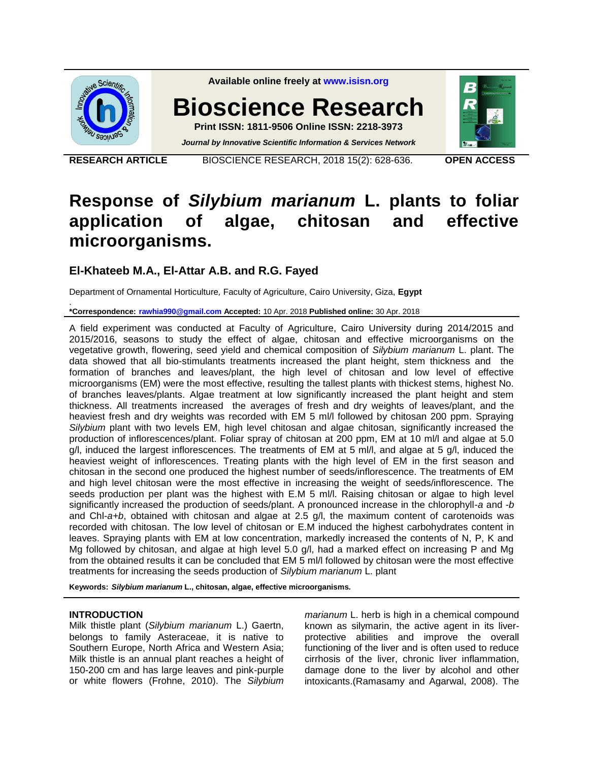

**Available online freely at [www.isisn.org](http://www.isisn.org/)**

**Bioscience Research**

**Print ISSN: 1811-9506 Online ISSN: 2218-3973** *Journal by Innovative Scientific Information & Services Network*

**RESEARCH ARTICLE** BIOSCIENCE RESEARCH, 2018 15(2): 628-636. **OPEN ACCESS**

# **Response of** *Silybium marianum* **L. plants to foliar application of algae, chitosan and effective microorganisms.**

# **El-Khateeb M.A., El-Attar A.B. and R.G. Fayed**

Department of Ornamental Horticulture*,* Faculty of Agriculture, Cairo University, Giza, **Egypt**

. **\*Correspondence: [rawhia990@gmail.com](mailto:rawhia990@gmail.com) Accepted:** 10 Apr. 2018 **Published online:** 30 Apr. 2018

A field experiment was conducted at Faculty of Agriculture, Cairo University during 2014/2015 and 2015/2016, seasons to study the effect of algae, chitosan and effective microorganisms on the vegetative growth, flowering, seed yield and chemical composition of *Silybium marianum* L. plant. The data showed that all bio-stimulants treatments increased the plant height, stem thickness and the formation of branches and leaves/plant, the high level of chitosan and low level of effective microorganisms (EM) were the most effective, resulting the tallest plants with thickest stems, highest No. of branches leaves/plants. Algae treatment at low significantly increased the plant height and stem thickness. All treatments increased the averages of fresh and dry weights of leaves/plant, and the heaviest fresh and dry weights was recorded with EM 5 ml/l followed by chitosan 200 ppm. Spraying *Silybium* plant with two levels EM, high level chitosan and algae chitosan, significantly increased the production of inflorescences/plant. Foliar spray of chitosan at 200 ppm, EM at 10 ml/l and algae at 5.0 g/l, induced the largest inflorescences. The treatments of EM at 5 ml/l, and algae at 5 g/l, induced the heaviest weight of inflorescences. Treating plants with the high level of EM in the first season and chitosan in the second one produced the highest number of seeds/inflorescence. The treatments of EM and high level chitosan were the most effective in increasing the weight of seeds/inflorescence. The seeds production per plant was the highest with E.M 5 ml/l. Raising chitosan or algae to high level significantly increased the production of seeds/plant. A pronounced increase in the chlorophyll-*a* and -*b* and Chl-*a+b*, obtained with chitosan and algae at 2.5 g/l, the maximum content of carotenoids was recorded with chitosan. The low level of chitosan or E.M induced the highest carbohydrates content in leaves. Spraying plants with EM at low concentration, markedly increased the contents of N, P, K and Mg followed by chitosan, and algae at high level 5.0 g/l, had a marked effect on increasing P and Mg from the obtained results it can be concluded that EM 5 ml/l followed by chitosan were the most effective treatments for increasing the seeds production of *Silybium marianum* L. plant

**Keywords:** *Silybium marianum* **L., chitosan, algae, effective microorganisms.**

## **INTRODUCTION**

Milk thistle plant (*Silybium marianum* L.) Gaertn, belongs to family Asteraceae, it is native to Southern Europe, North Africa and Western Asia; Milk thistle is an annual plant reaches a height of 150-200 cm and has large leaves and pink-purple or white flowers (Frohne, 2010). The *Silybium* 

*marianum* L. herb is high in a chemical compound known as silymarin, the active agent in its liverprotective abilities and improve the overall functioning of the liver and is often used to reduce cirrhosis of the liver, chronic liver inflammation, damage done to the liver by alcohol and other intoxicants.(Ramasamy and Agarwal, 2008). The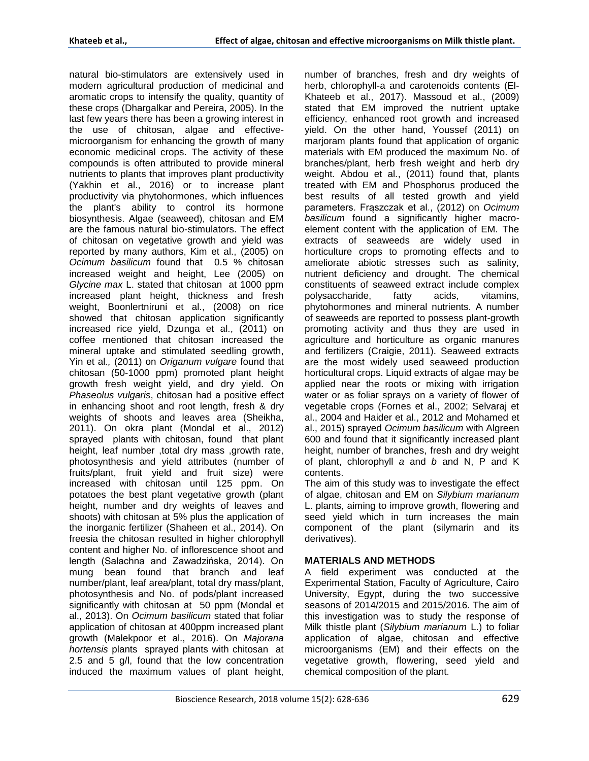natural bio-stimulators are extensively used in modern agricultural production of medicinal and aromatic crops to intensify the quality, quantity of these crops (Dhargalkar and Pereira, 2005). In the last few years there has been a growing interest in the use of chitosan, algae and effectivemicroorganism for enhancing the growth of many economic medicinal crops. The activity of these compounds is often attributed to provide mineral nutrients to plants that improves plant productivity (Yakhin et al., 2016) or to increase plant productivity via phytohormones, which influences the plant's ability to control its hormone biosynthesis. Algae (seaweed), chitosan and EM are the famous natural bio-stimulators. The effect of chitosan on vegetative growth and yield was reported by many authors, Kim et al., (2005) on *Ocimum basilicum* found that 0.5 % chitosan increased weight and height, Lee (2005) on *Glycine max* L. stated that chitosan at 1000 ppm increased plant height, thickness and fresh weight, Boonlertniruni et al., (2008) on rice showed that chitosan application significantly increased rice yield, Dzunga et al., (2011) on coffee mentioned that chitosan increased the mineral uptake and stimulated seedling growth, Yin et al*.,* (2011) on *Origanum vulgare* found that chitosan (50-1000 ppm) promoted plant height growth fresh weight yield, and dry yield. On *Phaseolus vulgaris*, chitosan had a positive effect in enhancing shoot and root length, fresh & dry weights of shoots and leaves area (Sheikha, 2011). On okra plant (Mondal et al., 2012) sprayed plants with chitosan, found that plant height, leaf number ,total dry mass ,growth rate, photosynthesis and yield attributes (number of fruits/plant, fruit yield and fruit size) were increased with chitosan until 125 ppm. On potatoes the best plant vegetative growth (plant height, number and dry weights of leaves and shoots) with chitosan at 5% plus the application of the inorganic fertilizer (Shaheen et al., 2014). On freesia the chitosan resulted in higher chlorophyll content and higher No. of inflorescence shoot and length (Salachna and Zawadzińska, 2014). On mung bean found that branch and leaf number/plant, leaf area/plant, total dry mass/plant, photosynthesis and No. of pods/plant increased significantly with chitosan at 50 ppm (Mondal et al., 2013). On *Ocimum basilicum* stated that foliar application of chitosan at 400ppm increased plant growth (Malekpoor et al., 2016). On *Majorana hortensis* plants sprayed plants with chitosan at 2.5 and 5 g/l, found that the low concentration induced the maximum values of plant height,

number of branches, fresh and dry weights of herb, chlorophyll-a and carotenoids contents (El-Khateeb et al., 2017). Massoud et al., (2009) stated that EM improved the nutrient uptake efficiency, enhanced root growth and increased yield. On the other hand, Youssef (2011) on marjoram plants found that application of organic materials with EM produced the maximum No. of branches/plant, herb fresh weight and herb dry weight. Abdou et al., (2011) found that, plants treated with EM and Phosphorus produced the best results of all tested growth and yield parameters. Frąszczak et al., (2012) on *Ocimum basilicum* found a significantly higher macroelement content with the application of EM. The extracts of seaweeds are widely used in horticulture crops to promoting effects and to ameliorate abiotic stresses such as salinity, nutrient deficiency and drought. The chemical constituents of seaweed extract include complex polysaccharide, fatty acids, vitamins, phytohormones and mineral nutrients. A number of seaweeds are reported to possess plant-growth promoting activity and thus they are used in agriculture and horticulture as organic manures and fertilizers (Craigie, 2011). Seaweed extracts are the most widely used seaweed production horticultural crops. Liquid extracts of algae may be applied near the roots or mixing with irrigation water or as foliar sprays on a variety of flower of vegetable crops (Fornes et al., 2002; Selvaraj et al., 2004 and Haider et al., 2012 and Mohamed et al., 2015) sprayed *Ocimum basilicum* with Algreen 600 and found that it significantly increased plant height, number of branches, fresh and dry weight of plant, chlorophyll *a* and *b* and N, P and K contents.

The aim of this study was to investigate the effect of algae, chitosan and EM on *Silybium marianum* L. plants, aiming to improve growth, flowering and seed yield which in turn increases the main component of the plant (silymarin and its derivatives).

## **MATERIALS AND METHODS**

A field experiment was conducted at the Experimental Station, Faculty of Agriculture, Cairo University, Egypt, during the two successive seasons of 2014/2015 and 2015/2016. The aim of this investigation was to study the response of Milk thistle plant (*Silybium marianum* L.) to foliar application of algae, chitosan and effective microorganisms (EM) and their effects on the vegetative growth, flowering, seed yield and chemical composition of the plant.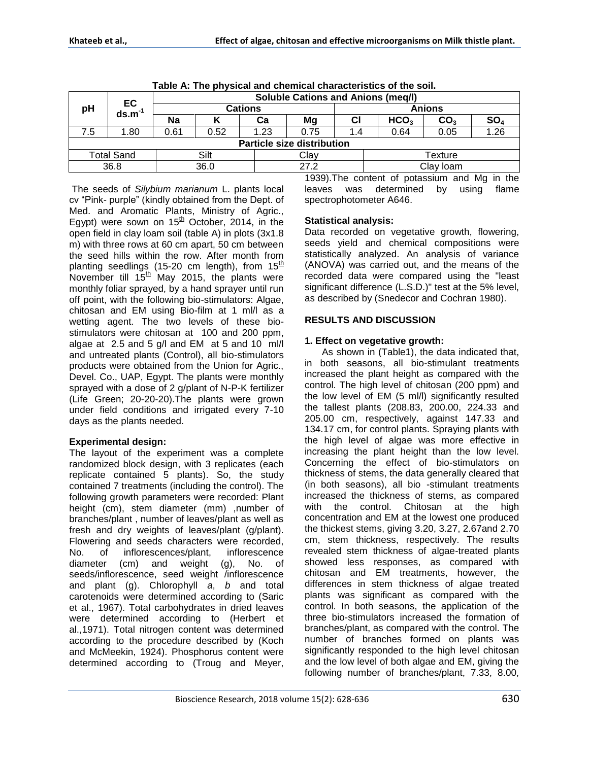| Table A. The physical and chemical characteristics of the soil. |                |                                           |      |      |      |               |                  |                 |                 |  |  |
|-----------------------------------------------------------------|----------------|-------------------------------------------|------|------|------|---------------|------------------|-----------------|-----------------|--|--|
| pH                                                              | EC<br>$ds.m-1$ | <b>Soluble Cations and Anions (meq/l)</b> |      |      |      |               |                  |                 |                 |  |  |
|                                                                 |                | <b>Cations</b>                            |      |      |      | <b>Anions</b> |                  |                 |                 |  |  |
|                                                                 |                | Na                                        | n    | Cа   | Mg   | СI            | HCO <sub>3</sub> | CO <sub>3</sub> | SO <sub>4</sub> |  |  |
| 7.5                                                             | 1.80           | 0.61                                      | 0.52 | 1.23 | 0.75 | 1.4           | 0.64             | 0.05            | 1.26            |  |  |
| <b>Particle size distribution</b>                               |                |                                           |      |      |      |               |                  |                 |                 |  |  |
| <b>Total Sand</b>                                               |                |                                           | Silt |      | Clay |               | Texture          |                 |                 |  |  |
| 36.8                                                            |                |                                           | 36.0 |      | 27.2 |               | Clay Ioam        |                 |                 |  |  |
|                                                                 |                |                                           |      |      |      |               |                  |                 |                 |  |  |

**Table A: The physical and chemical characteristics of the soil.**

The seeds of *Silybium marianum* L. plants local cv "Pink- purple" (kindly obtained from the Dept. of Med. and Aromatic Plants, Ministry of Agric., Egypt) were sown on  $15<sup>th</sup>$  October, 2014, in the open field in clay loam soil (table A) in plots (3x1.8 m) with three rows at 60 cm apart, 50 cm between the seed hills within the row. After month from planting seedlings (15-20 cm length), from  $15<sup>th</sup>$ November till  $15<sup>th</sup>$  May 2015, the plants were monthly foliar sprayed, by a hand sprayer until run off point, with the following bio-stimulators: Algae, chitosan and EM using Bio-film at 1 ml/l as a wetting agent. The two levels of these biostimulators were chitosan at 100 and 200 ppm, algae at 2.5 and 5 g/l and EM at 5 and 10 ml/l and untreated plants (Control), all bio-stimulators products were obtained from the Union for Agric., Devel. Co., UAP, Egypt. The plants were monthly sprayed with a dose of 2 g/plant of N-P-K fertilizer (Life Green; 20-20-20).The plants were grown under field conditions and irrigated every 7-10 days as the plants needed.

## **Experimental design:**

The layout of the experiment was a complete randomized block design, with 3 replicates (each replicate contained 5 plants). So, the study contained 7 treatments (including the control). The following growth parameters were recorded: Plant height (cm), stem diameter (mm) ,number of branches/plant , number of leaves/plant as well as fresh and dry weights of leaves/plant (g/plant). Flowering and seeds characters were recorded, No. of inflorescences/plant, inflorescence diameter (cm) and weight (g), No. of seeds/inflorescence, seed weight /inflorescence and plant (g). Chlorophyll *a*, *b* and total carotenoids were determined according to (Saric et al., 1967). Total carbohydrates in dried leaves were determined according to (Herbert et al.,1971). Total nitrogen content was determined according to the procedure described by (Koch and McMeekin, 1924). Phosphorus content were determined according to (Troug and Meyer,

1939).The content of potassium and Mg in the leaves was determined by using flame spectrophotometer A646.

## **Statistical analysis:**

Data recorded on vegetative growth, flowering, seeds yield and chemical compositions were statistically analyzed. An analysis of variance (ANOVA) was carried out, and the means of the recorded data were compared using the "least significant difference (L.S.D.)" test at the 5% level, as described by (Snedecor and Cochran 1980).

## **RESULTS AND DISCUSSION**

## **1. Effect on vegetative growth:**

As shown in (Table1), the data indicated that, in both seasons, all bio-stimulant treatments increased the plant height as compared with the control. The high level of chitosan (200 ppm) and the low level of EM (5 ml/l) significantly resulted the tallest plants (208.83, 200.00, 224.33 and 205.00 cm, respectively, against 147.33 and 134.17 cm, for control plants. Spraying plants with the high level of algae was more effective in increasing the plant height than the low level. Concerning the effect of bio-stimulators on thickness of stems, the data generally cleared that (in both seasons), all bio -stimulant treatments increased the thickness of stems, as compared with the control. Chitosan at the high concentration and EM at the lowest one produced the thickest stems, giving 3.20, 3.27, 2.67and 2.70 cm, stem thickness, respectively. The results revealed stem thickness of algae-treated plants showed less responses, as compared with chitosan and EM treatments, however, the differences in stem thickness of algae treated plants was significant as compared with the control. In both seasons, the application of the three bio-stimulators increased the formation of branches/plant, as compared with the control. The number of branches formed on plants was significantly responded to the high level chitosan and the low level of both algae and EM, giving the following number of branches/plant, 7.33, 8.00,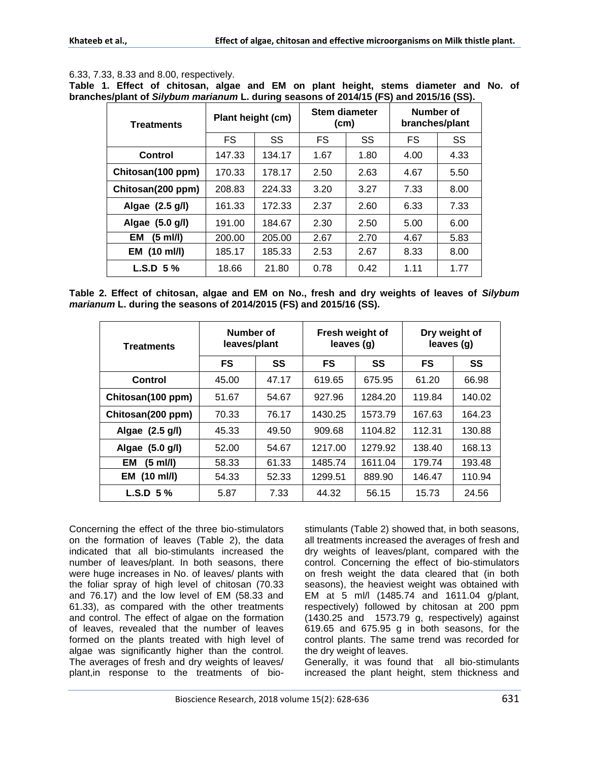## 6.33, 7.33, 8.33 and 8.00, respectively.

**Table 1. Effect of chitosan, algae and EM on plant height, stems diameter and No. of branches/plant of** *Silybum marianum* **L. during seasons of 2014/15 (FS) and 2015/16 (SS).**

| <b>Treatments</b>   | Plant height (cm) |        | Stem diameter<br>(cm) |      | Number of<br>branches/plant |      |
|---------------------|-------------------|--------|-----------------------|------|-----------------------------|------|
|                     | FS                | SS     | FS                    | SS   | FS                          | SS   |
| Control             | 147.33            | 134.17 | 1.67                  | 1.80 | 4.00                        | 4.33 |
| Chitosan(100 ppm)   | 170.33            | 178.17 | 2.50                  | 2.63 | 4.67                        | 5.50 |
| Chitosan(200 ppm)   | 208.83            | 224.33 | 3.20                  | 3.27 | 7.33                        | 8.00 |
| Algae (2.5 g/l)     | 161.33            | 172.33 | 2.37                  | 2.60 | 6.33                        | 7.33 |
| Algae (5.0 g/l)     | 191.00            | 184.67 | 2.30                  | 2.50 | 5.00                        | 6.00 |
| EМ<br>(5 ml/l)      | 200.00            | 205.00 | 2.67                  | 2.70 | 4.67                        | 5.83 |
| <b>EM</b> (10 ml/l) | 185.17            | 185.33 | 2.53                  | 2.67 | 8.33                        | 8.00 |
| $L.S.D. 5\%$        | 18.66             | 21.80  | 0.78                  | 0.42 | 1.11                        | 1.77 |

**Table 2. Effect of chitosan, algae and EM on No., fresh and dry weights of leaves of** *Silybum marianum* **L. during the seasons of 2014/2015 (FS) and 2015/16 (SS).**

| Treatments                | Number of<br>leaves/plant |       | Fresh weight of<br>leaves (g) |         | Dry weight of<br>leaves (g) |        |
|---------------------------|---------------------------|-------|-------------------------------|---------|-----------------------------|--------|
|                           | <b>FS</b>                 | SS    | <b>FS</b>                     | SS      | FS                          | SS     |
| Control                   | 45.00                     | 47.17 | 619.65                        | 675.95  | 61.20                       | 66.98  |
| Chitosan(100 ppm)         | 51.67                     | 54.67 | 927.96                        | 1284.20 | 119.84                      | 140.02 |
| Chitosan(200 ppm)         | 70.33                     | 76.17 | 1430.25                       | 1573.79 | 167.63                      | 164.23 |
| Algae (2.5 g/l)           | 45.33                     | 49.50 | 909.68                        | 1104.82 | 112.31                      | 130.88 |
| Algae (5.0 g/l)           | 52.00                     | 54.67 | 1217.00                       | 1279.92 | 138.40                      | 168.13 |
| EM<br>(5 ml/l)            | 58.33                     | 61.33 | 1485.74                       | 1611.04 | 179.74                      | 193.48 |
| $(10 \text{ mJ/l})$<br>EM | 54.33                     | 52.33 | 1299.51                       | 889.90  | 146.47                      | 110.94 |
| $L.S.D. 5\%$              | 5.87                      | 7.33  | 44.32                         | 56.15   | 15.73                       | 24.56  |

Concerning the effect of the three bio-stimulators on the formation of leaves (Table 2), the data indicated that all bio-stimulants increased the number of leaves/plant. In both seasons, there were huge increases in No. of leaves/ plants with the foliar spray of high level of chitosan (70.33 and 76.17) and the low level of EM (58.33 and 61.33), as compared with the other treatments and control. The effect of algae on the formation of leaves, revealed that the number of leaves formed on the plants treated with high level of algae was significantly higher than the control. The averages of fresh and dry weights of leaves/ plant,in response to the treatments of biostimulants (Table 2) showed that, in both seasons, all treatments increased the averages of fresh and dry weights of leaves/plant, compared with the control. Concerning the effect of bio-stimulators on fresh weight the data cleared that (in both seasons), the heaviest weight was obtained with EM at 5 ml/l (1485.74 and 1611.04 g/plant, respectively) followed by chitosan at 200 ppm (1430.25 and 1573.79 g, respectively) against 619.65 and 675.95 g in both seasons, for the control plants. The same trend was recorded for the dry weight of leaves.

Generally, it was found that all bio-stimulants increased the plant height, stem thickness and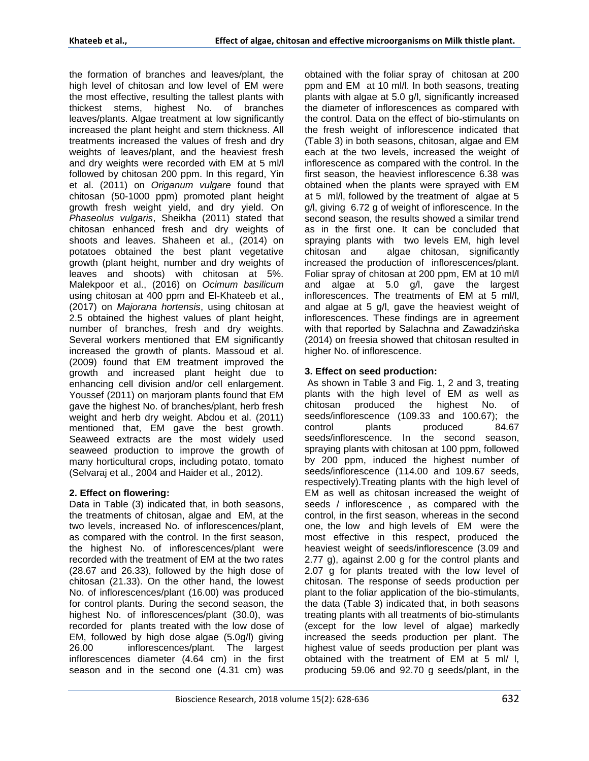the formation of branches and leaves/plant, the high level of chitosan and low level of EM were the most effective, resulting the tallest plants with thickest stems, highest No. of branches leaves/plants. Algae treatment at low significantly increased the plant height and stem thickness. All treatments increased the values of fresh and dry weights of leaves/plant, and the heaviest fresh and dry weights were recorded with EM at 5 ml/l followed by chitosan 200 ppm. In this regard, Yin et al. (2011) on *Origanum vulgare* found that chitosan (50-1000 ppm) promoted plant height growth fresh weight yield, and dry yield. On *Phaseolus vulgaris*, Sheikha (2011) stated that chitosan enhanced fresh and dry weights of shoots and leaves. Shaheen et al., (2014) on potatoes obtained the best plant vegetative growth (plant height, number and dry weights of leaves and shoots) with chitosan at 5%. Malekpoor et al., (2016) on *Ocimum basilicum*  using chitosan at 400 ppm and El-Khateeb et al., (2017) on *Majorana hortensis*, using chitosan at 2.5 obtained the highest values of plant height, number of branches, fresh and dry weights. Several workers mentioned that EM significantly increased the growth of plants. Massoud et al. (2009) found that EM treatment improved the growth and increased plant height due to enhancing cell division and/or cell enlargement. Youssef (2011) on marjoram plants found that EM gave the highest No. of branches/plant, herb fresh weight and herb dry weight. Abdou et al. (2011) mentioned that, EM gave the best growth. Seaweed extracts are the most widely used seaweed production to improve the growth of many horticultural crops, including potato, tomato (Selvaraj et al., 2004 and Haider et al., 2012).

## **2. Effect on flowering:**

Data in Table (3) indicated that, in both seasons, the treatments of chitosan, algae and EM, at the two levels, increased No. of inflorescences/plant, as compared with the control. In the first season, the highest No. of inflorescences/plant were recorded with the treatment of EM at the two rates (28.67 and 26.33), followed by the high dose of chitosan (21.33). On the other hand, the lowest No. of inflorescences/plant (16.00) was produced for control plants. During the second season, the highest No. of inflorescences/plant (30.0), was recorded for plants treated with the low dose of EM, followed by high dose algae (5.0g/l) giving 26.00 inflorescences/plant. The largest inflorescences diameter (4.64 cm) in the first season and in the second one (4.31 cm) was obtained with the foliar spray of chitosan at 200 ppm and EM at 10 ml/l. In both seasons, treating plants with algae at 5.0 g/l, significantly increased the diameter of inflorescences as compared with the control. Data on the effect of bio-stimulants on the fresh weight of inflorescence indicated that (Table 3) in both seasons, chitosan, algae and EM each at the two levels, increased the weight of inflorescence as compared with the control. In the first season, the heaviest inflorescence 6.38 was obtained when the plants were sprayed with EM at 5 ml/l, followed by the treatment of algae at 5 g/l, giving 6.72 g of weight of inflorescence. In the second season, the results showed a similar trend as in the first one. It can be concluded that spraying plants with two levels EM, high level chitosan and algae chitosan, significantly increased the production of inflorescences/plant. Foliar spray of chitosan at 200 ppm, EM at 10 ml/l and algae at 5.0 g/l, gave the largest inflorescences. The treatments of EM at 5 ml/l, and algae at 5 g/l, gave the heaviest weight of inflorescences. These findings are in agreement with that reported by Salachna and Zawadzińska (2014) on freesia showed that chitosan resulted in higher No. of inflorescence.

## **3. Effect on seed production:**

As shown in Table 3 and Fig. 1, 2 and 3, treating plants with the high level of EM as well as chitosan produced the highest No. of seeds/inflorescence (109.33 and 100.67); the<br>control plants produced 84.67 control plants produced 84.67 seeds/inflorescence. In the second season, spraying plants with chitosan at 100 ppm, followed by 200 ppm, induced the highest number of seeds/inflorescence (114.00 and 109.67 seeds, respectively).Treating plants with the high level of EM as well as chitosan increased the weight of seeds / inflorescence , as compared with the control, in the first season, whereas in the second one, the low and high levels of EM were the most effective in this respect, produced the heaviest weight of seeds/inflorescence (3.09 and 2.77 g), against 2.00 g for the control plants and 2.07 g for plants treated with the low level of chitosan. The response of seeds production per plant to the foliar application of the bio-stimulants, the data (Table 3) indicated that, in both seasons treating plants with all treatments of bio-stimulants (except for the low level of algae) markedly increased the seeds production per plant. The highest value of seeds production per plant was obtained with the treatment of EM at 5 ml/ l, producing 59.06 and 92.70 g seeds/plant, in the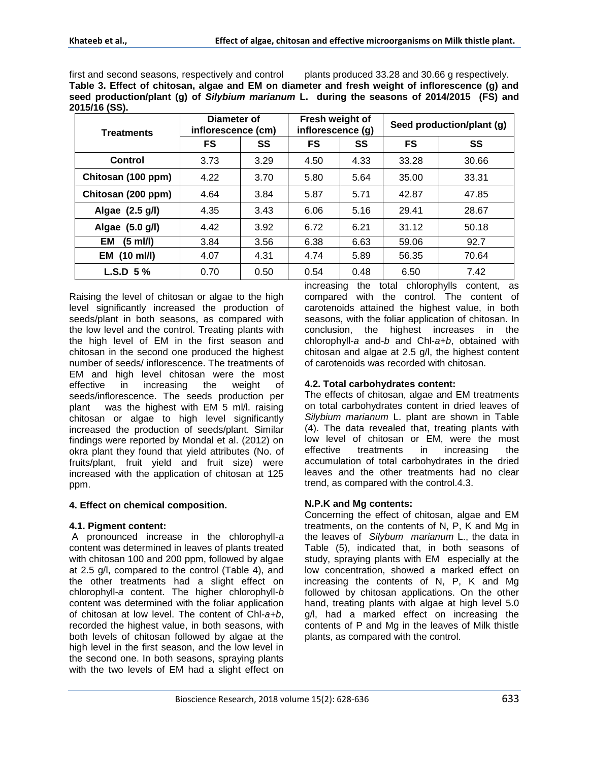first and second seasons, respectively and control plants produced 33.28 and 30.66 g respectively. **Table 3. Effect of chitosan, algae and EM on diameter and fresh weight of inflorescence (g) and seed production/plant (g) of** *Silybium marianum* **L. during the seasons of 2014/2015 (FS) and 2015/16 (SS).**

| Treatments         | Diameter of<br>inflorescence (cm) |      | Fresh weight of<br>inflorescence (g) |      | Seed production/plant (g) |       |  |
|--------------------|-----------------------------------|------|--------------------------------------|------|---------------------------|-------|--|
|                    | FS                                | SS   | FS                                   | SS   | <b>FS</b>                 | SS    |  |
| Control            | 3.73                              | 3.29 | 4.50                                 | 4.33 | 33.28                     | 30.66 |  |
| Chitosan (100 ppm) | 4.22                              | 3.70 | 5.80                                 | 5.64 | 35.00                     | 33.31 |  |
| Chitosan (200 ppm) | 4.64                              | 3.84 | 5.87                                 | 5.71 | 42.87                     | 47.85 |  |
| Algae (2.5 g/l)    | 4.35                              | 3.43 | 6.06                                 | 5.16 | 29.41                     | 28.67 |  |
| Algae (5.0 g/l)    | 4.42                              | 3.92 | 6.72                                 | 6.21 | 31.12                     | 50.18 |  |
| $(5$ ml/l)<br>EM   | 3.84                              | 3.56 | 6.38                                 | 6.63 | 59.06                     | 92.7  |  |
| (10 ml/l)<br>EM    | 4.07                              | 4.31 | 4.74                                 | 5.89 | 56.35                     | 70.64 |  |
| $L.S.D. 5\%$       | 0.70                              | 0.50 | 0.54                                 | 0.48 | 6.50                      | 7.42  |  |

Raising the level of chitosan or algae to the high level significantly increased the production of seeds/plant in both seasons, as compared with the low level and the control. Treating plants with the high level of EM in the first season and chitosan in the second one produced the highest number of seeds/ inflorescence. The treatments of EM and high level chitosan were the most effective in increasing the weight of seeds/inflorescence. The seeds production per plant was the highest with EM 5 ml/l. raising chitosan or algae to high level significantly increased the production of seeds/plant. Similar findings were reported by Mondal et al. (2012) on okra plant they found that yield attributes (No. of fruits/plant, fruit yield and fruit size) were increased with the application of chitosan at 125 ppm.

# **4. Effect on chemical composition.**

# **4.1. Pigment content:**

A pronounced increase in the chlorophyll-*a* content was determined in leaves of plants treated with chitosan 100 and 200 ppm, followed by algae at 2.5 g/l, compared to the control (Table 4), and the other treatments had a slight effect on chlorophyll-*a* content. The higher chlorophyll-*b* content was determined with the foliar application of chitosan at low level. The content of Chl-*a+b*, recorded the highest value, in both seasons, with both levels of chitosan followed by algae at the high level in the first season, and the low level in the second one. In both seasons, spraying plants with the two levels of EM had a slight effect on

increasing the total chlorophylls content, as compared with the control. The content of carotenoids attained the highest value, in both seasons, with the foliar application of chitosan. In conclusion, the highest increases in the chlorophyll-*a* and-*b* and Chl-*a+b*, obtained with chitosan and algae at 2.5 g/l, the highest content of carotenoids was recorded with chitosan.

# **4.2. Total carbohydrates content:**

The effects of chitosan, algae and EM treatments on total carbohydrates content in dried leaves of *Silybium marianum* L. plant are shown in Table (4). The data revealed that, treating plants with low level of chitosan or EM, were the most effective treatments in increasing the accumulation of total carbohydrates in the dried leaves and the other treatments had no clear trend, as compared with the control.4.3.

# **N.P.K and Mg contents:**

Concerning the effect of chitosan, algae and EM treatments, on the contents of N, P, K and Mg in the leaves of *Silybum marianum* L., the data in Table (5), indicated that, in both seasons of study, spraying plants with EM especially at the low concentration, showed a marked effect on increasing the contents of N, P, K and Mg followed by chitosan applications. On the other hand, treating plants with algae at high level 5.0 g/l, had a marked effect on increasing the contents of P and Mg in the leaves of Milk thistle plants, as compared with the control.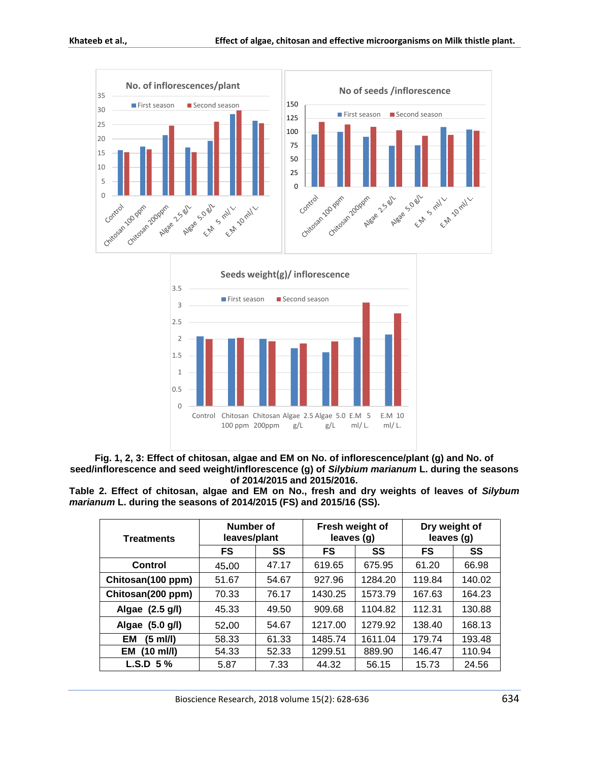



**Fig. 1, 2, 3: Effect of chitosan, algae and EM on No. of inflorescence/plant (g) and No. of seed/inflorescence and seed weight/inflorescence (g) of** *Silybium marianum* **L. during the seasons of 2014/2015 and 2015/2016.**

**Table 2. Effect of chitosan, algae and EM on No., fresh and dry weights of leaves of** *Silybum marianum* **L. during the seasons of 2014/2015 (FS) and 2015/16 (SS).**

| <b>Treatments</b> | Number of<br>leaves/plant |       | Fresh weight of<br>leaves (g) |         | Dry weight of<br>leaves (g) |        |
|-------------------|---------------------------|-------|-------------------------------|---------|-----------------------------|--------|
|                   | <b>FS</b>                 | SS    | FS                            | SS      | FS                          | SS     |
| Control           | 45.00                     | 47.17 | 619.65                        | 675.95  | 61.20                       | 66.98  |
| Chitosan(100 ppm) | 51.67                     | 54.67 | 927.96                        | 1284.20 | 119.84                      | 140.02 |
| Chitosan(200 ppm) | 70.33                     | 76.17 | 1430.25                       | 1573.79 | 167.63                      | 164.23 |
| Algae (2.5 g/l)   | 45.33                     | 49.50 | 909.68                        | 1104.82 | 112.31                      | 130.88 |
| Algae (5.0 g/l)   | 52.00                     | 54.67 | 1217.00                       | 1279.92 | 138.40                      | 168.13 |
| EM<br>(5 ml/l)    | 58.33                     | 61.33 | 1485.74                       | 1611.04 | 179.74                      | 193.48 |
| $(10$ ml/l)<br>EM | 54.33                     | 52.33 | 1299.51                       | 889.90  | 146.47                      | 110.94 |
| $L.S.D.5\%$       | 5.87                      | 7.33  | 44.32                         | 56.15   | 15.73                       | 24.56  |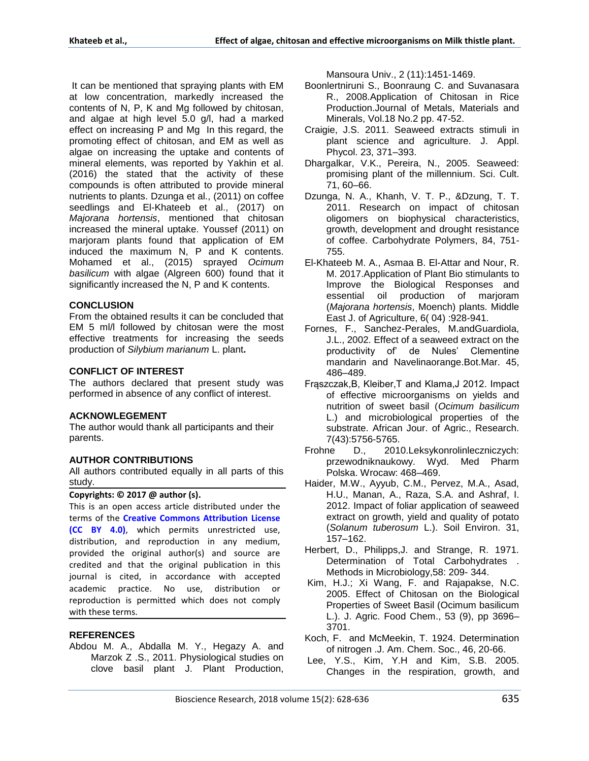It can be mentioned that spraying plants with EM at low concentration, markedly increased the contents of N, P, K and Mg followed by chitosan, and algae at high level 5.0 g/l, had a marked effect on increasing P and Mg In this regard, the promoting effect of chitosan, and EM as well as algae on increasing the uptake and contents of mineral elements, was reported by Yakhin et al. (2016) the stated that the activity of these compounds is often attributed to provide mineral nutrients to plants. Dzunga et al., (2011) on coffee seedlings and El-Khateeb et al., (2017) on *Majorana hortensis*, mentioned that chitosan increased the mineral uptake. Youssef (2011) on marjoram plants found that application of EM induced the maximum N, P and K contents. Mohamed et al., (2015) sprayed *Ocimum basilicum* with algae (Algreen 600) found that it significantly increased the N, P and K contents.

#### **CONCLUSION**

From the obtained results it can be concluded that EM 5 ml/l followed by chitosan were the most effective treatments for increasing the seeds production of *Silybium marianum* L. plant**.** 

## **CONFLICT OF INTEREST**

The authors declared that present study was performed in absence of any conflict of interest.

## **ACKNOWLEGEMENT**

The author would thank all participants and their parents.

## **AUTHOR CONTRIBUTIONS**

All authors contributed equally in all parts of this study.

#### **Copyrights: © 2017 @ author (s).**

This is an open access article distributed under the terms of the **[Creative Commons Attribution License](https://creativecommons.org/licenses/by/4.0/)  [\(CC BY 4.0\)](https://creativecommons.org/licenses/by/4.0/)**, which permits unrestricted use, distribution, and reproduction in any medium, provided the original author(s) and source are credited and that the original publication in this journal is cited, in accordance with accepted academic practice. No use, distribution or reproduction is permitted which does not comply with these terms.

## **REFERENCES**

Abdou M. A., Abdalla M. Y., Hegazy A. and Marzok Z .S., 2011. Physiological studies on clove basil plant J. Plant Production, Mansoura Univ., 2 (11):1451-1469.

- Boonlertniruni S., Boonraung C. and Suvanasara R., 2008.Application of Chitosan in Rice Production.Journal of Metals, Materials and Minerals, Vol.18 No.2 pp. 47-52.
- Craigie, J.S. 2011. Seaweed extracts stimuli in plant science and agriculture. J. Appl. Phycol. 23, 371–393.
- Dhargalkar, V.K., Pereira, N., 2005. Seaweed: promising plant of the millennium. Sci. Cult. 71, 60–66.
- Dzunga, N. A., Khanh, V. T. P., &Dzung, T. T. 2011. Research on impact of chitosan oligomers on biophysical characteristics, growth, development and drought resistance of coffee. Carbohydrate Polymers, 84, 751- 755.
- El-Khateeb M. A., Asmaa B. El-Attar and Nour, R. M. 2017.Application of Plant Bio stimulants to Improve the Biological Responses and essential oil production of marjoram (*Majorana hortensis*, Moench) plants. Middle East J. of Agriculture, 6( 04) :928-941.
- Fornes, F., Sanchez-Perales, M.andGuardiola, J.L., 2002. Effect of a seaweed extract on the productivity of' de Nules' Clementine mandarin and Navelinaorange.Bot.Mar. 45, 486–489.
- Frąszczak,B, Kleiber,T and Klama,J 2012. Impact of effective microorganisms on yields and nutrition of sweet basil (*Ocimum basilicum* L.) and microbiological properties of the substrate. African Jour. of Agric., Research. 7(43):5756-5765.
- Frohne D., 2010.Leksykonrolinleczniczych: przewodniknaukowy. Wyd. Med Pharm Polska. Wrocaw: 468–469.
- Haider, M.W., Ayyub, C.M., Pervez, M.A., Asad, H.U., Manan, A., Raza, S.A. and Ashraf, I. 2012. Impact of foliar application of seaweed extract on growth, yield and quality of potato (*Solanum tuberosum* L.). Soil Environ. 31, 157–162.
- Herbert, D., Philipps,J. and Strange, R. 1971. Determination of Total Carbohydrates . Methods in Microbiology,58: 209- 344.
- Kim, H.J.; Xi Wang, F. and Rajapakse, N.C. 2005. Effect of Chitosan on the Biological Properties of Sweet Basil (Ocimum basilicum L.). J. Agric. Food Chem., 53 (9), pp 3696– 3701.
- Koch, F. and McMeekin, T. 1924. Determination of nitrogen .J. Am. Chem. Soc., 46, 20-66.
- Lee, Y.S., Kim, Y.H and Kim, S.B. 2005. Changes in the respiration, growth, and